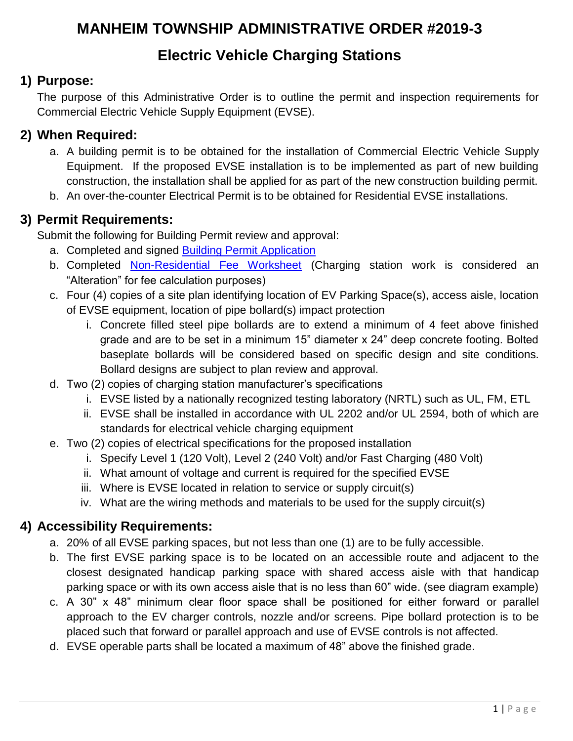# **MANHEIM TOWNSHIP ADMINISTRATIVE ORDER #2019-3**

# **Electric Vehicle Charging Stations**

#### **1) Purpose:**

The purpose of this Administrative Order is to outline the permit and inspection requirements for Commercial Electric Vehicle Supply Equipment (EVSE).

### **2) When Required:**

- a. A building permit is to be obtained for the installation of Commercial Electric Vehicle Supply Equipment. If the proposed EVSE installation is to be implemented as part of new building construction, the installation shall be applied for as part of the new construction building permit.
- b. An over-the-counter Electrical Permit is to be obtained for Residential EVSE installations.

### **3) Permit Requirements:**

Submit the following for Building Permit review and approval:

- a. Completed and signed [Building Permit Application](http://www.manheimtownship.org/DocumentCenter/View/4085/BuildingPermitOriginal-2018-Fillable-PDF?bidId=)
- b. Completed [Non-Residential Fee Worksheet](http://www.manheimtownship.org/DocumentCenter/View/4888/Non-Residential-Fee-Worksheet?bidId=) (Charging station work is considered an "Alteration" for fee calculation purposes)
- c. Four (4) copies of a site plan identifying location of EV Parking Space(s), access aisle, location of EVSE equipment, location of pipe bollard(s) impact protection
	- i. Concrete filled steel pipe bollards are to extend a minimum of 4 feet above finished grade and are to be set in a minimum 15" diameter x 24" deep concrete footing. Bolted baseplate bollards will be considered based on specific design and site conditions. Bollard designs are subject to plan review and approval.
- d. Two (2) copies of charging station manufacturer's specifications
	- i. EVSE listed by a nationally recognized testing laboratory (NRTL) such as UL, FM, ETL
	- ii. EVSE shall be installed in accordance with UL 2202 and/or UL 2594, both of which are standards for electrical vehicle charging equipment
- e. Two (2) copies of electrical specifications for the proposed installation
	- i. Specify Level 1 (120 Volt), Level 2 (240 Volt) and/or Fast Charging (480 Volt)
	- ii. What amount of voltage and current is required for the specified EVSE
	- iii. Where is EVSE located in relation to service or supply circuit(s)
	- iv. What are the wiring methods and materials to be used for the supply circuit(s)

### **4) Accessibility Requirements:**

- a. 20% of all EVSE parking spaces, but not less than one (1) are to be fully accessible.
- b. The first EVSE parking space is to be located on an accessible route and adjacent to the closest designated handicap parking space with shared access aisle with that handicap parking space or with its own access aisle that is no less than 60" wide. (see diagram example)
- c. A 30" x 48" minimum clear floor space shall be positioned for either forward or parallel approach to the EV charger controls, nozzle and/or screens. Pipe bollard protection is to be placed such that forward or parallel approach and use of EVSE controls is not affected.
- d. EVSE operable parts shall be located a maximum of 48" above the finished grade.